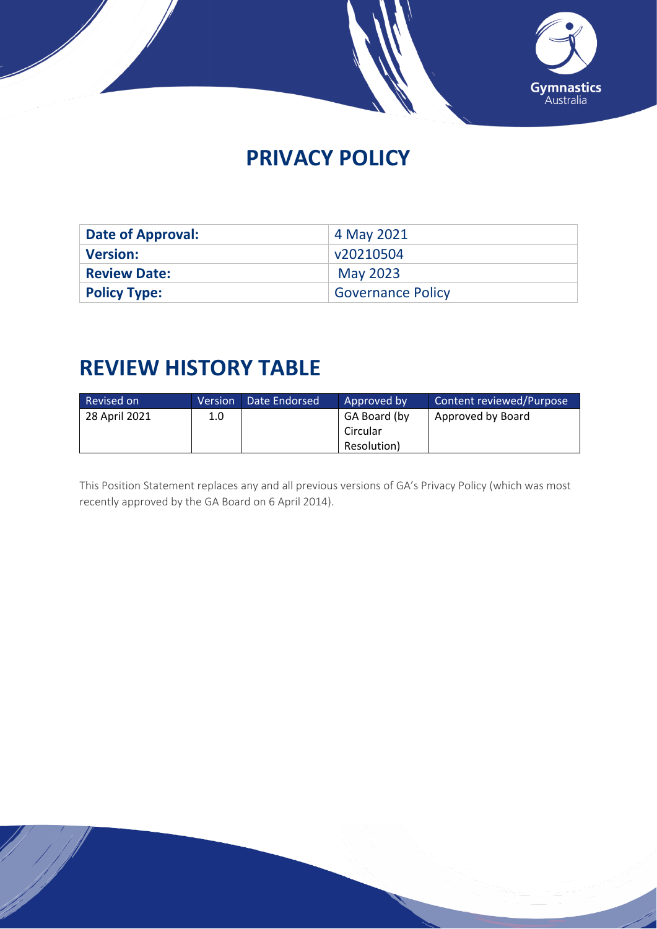

# **PRIVACY POLICY**

| Date of Approval:   | 4 May 2021               |
|---------------------|--------------------------|
| <b>Version:</b>     | v20210504                |
| <b>Review Date:</b> | <b>May 2023</b>          |
| <b>Policy Type:</b> | <b>Governance Policy</b> |

# **REVIEW HISTORY TABLE**

| Revised on    | Version | Date Endorsed | Approved by  | Content reviewed/Purpose |
|---------------|---------|---------------|--------------|--------------------------|
| 28 April 2021 | 1.0     |               | GA Board (by | Approved by Board        |
|               |         |               | Circular     |                          |
|               |         |               | Resolution)  |                          |

This Position Statement replaces any and all previous versions of GA's Privacy Policy (which was most recently approved by the GA Board on 6 April 2014).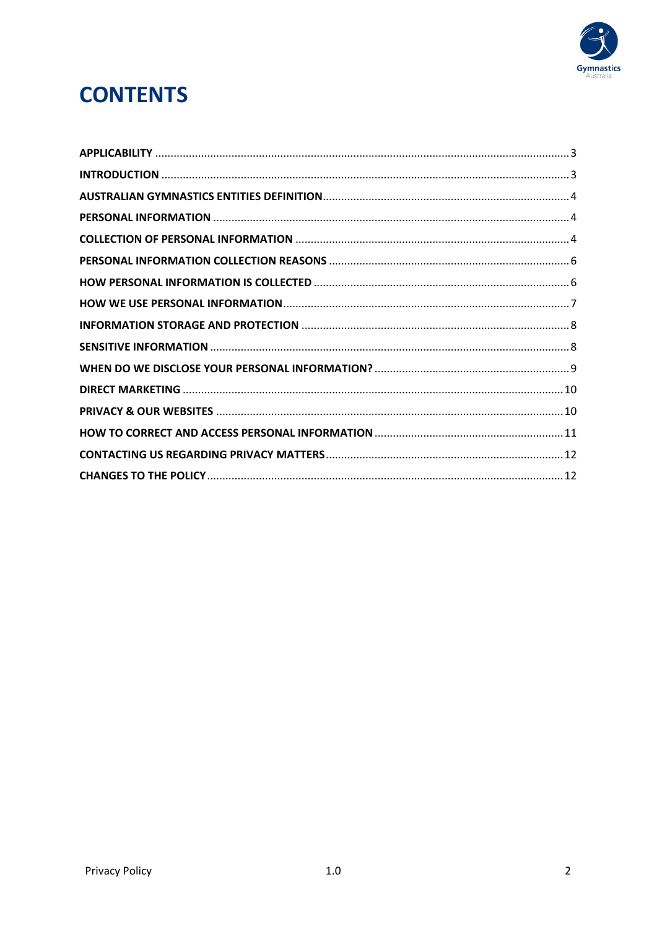

# **CONTENTS**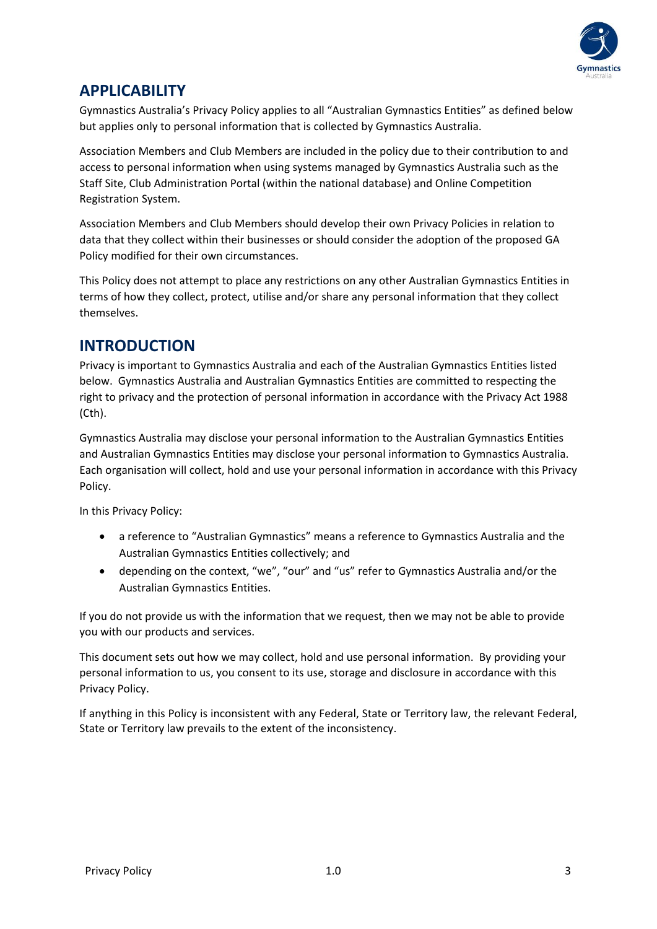

## <span id="page-2-0"></span>**APPLICABILITY**

Gymnastics Australia's Privacy Policy applies to all "Australian Gymnastics Entities" as defined below but applies only to personal information that is collected by Gymnastics Australia.

Association Members and Club Members are included in the policy due to their contribution to and access to personal information when using systems managed by Gymnastics Australia such as the Staff Site, Club Administration Portal (within the national database) and Online Competition Registration System.

Association Members and Club Members should develop their own Privacy Policies in relation to data that they collect within their businesses or should consider the adoption of the proposed GA Policy modified for their own circumstances.

This Policy does not attempt to place any restrictions on any other Australian Gymnastics Entities in terms of how they collect, protect, utilise and/or share any personal information that they collect themselves.

#### <span id="page-2-1"></span>**INTRODUCTION**

Privacy is important to Gymnastics Australia and each of the Australian Gymnastics Entities listed below. Gymnastics Australia and Australian Gymnastics Entities are committed to respecting the right to privacy and the protection of personal information in accordance with the Privacy Act 1988 (Cth).

Gymnastics Australia may disclose your personal information to the Australian Gymnastics Entities and Australian Gymnastics Entities may disclose your personal information to Gymnastics Australia. Each organisation will collect, hold and use your personal information in accordance with this Privacy Policy.

In this Privacy Policy:

- a reference to "Australian Gymnastics" means a reference to Gymnastics Australia and the Australian Gymnastics Entities collectively; and
- depending on the context, "we", "our" and "us" refer to Gymnastics Australia and/or the Australian Gymnastics Entities.

If you do not provide us with the information that we request, then we may not be able to provide you with our products and services.

This document sets out how we may collect, hold and use personal information. By providing your personal information to us, you consent to its use, storage and disclosure in accordance with this Privacy Policy.

If anything in this Policy is inconsistent with any Federal, State or Territory law, the relevant Federal, State or Territory law prevails to the extent of the inconsistency.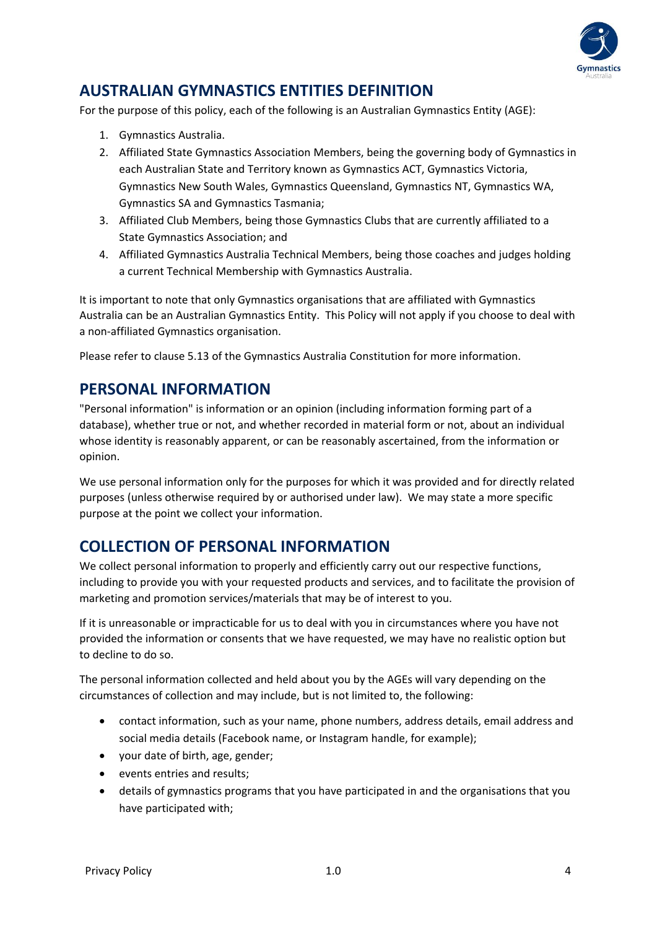

## <span id="page-3-0"></span>**AUSTRALIAN GYMNASTICS ENTITIES DEFINITION**

For the purpose of this policy, each of the following is an Australian Gymnastics Entity (AGE):

- 1. Gymnastics Australia.
- 2. Affiliated State Gymnastics Association Members, being the governing body of Gymnastics in each Australian State and Territory known as Gymnastics ACT, Gymnastics Victoria, Gymnastics New South Wales, Gymnastics Queensland, Gymnastics NT, Gymnastics WA, Gymnastics SA and Gymnastics Tasmania;
- 3. Affiliated Club Members, being those Gymnastics Clubs that are currently affiliated to a State Gymnastics Association; and
- 4. Affiliated Gymnastics Australia Technical Members, being those coaches and judges holding a current Technical Membership with Gymnastics Australia.

It is important to note that only Gymnastics organisations that are affiliated with Gymnastics Australia can be an Australian Gymnastics Entity. This Policy will not apply if you choose to deal with a non-affiliated Gymnastics organisation.

Please refer to clause 5.13 of the Gymnastics Australia Constitution for more information.

#### <span id="page-3-1"></span>**PERSONAL INFORMATION**

"Personal information" is information or an opinion (including information forming part of a database), whether true or not, and whether recorded in material form or not, about an individual whose identity is reasonably apparent, or can be reasonably ascertained, from the information or opinion.

We use personal information only for the purposes for which it was provided and for directly related purposes (unless otherwise required by or authorised under law). We may state a more specific purpose at the point we collect your information.

## <span id="page-3-2"></span>**COLLECTION OF PERSONAL INFORMATION**

We collect personal information to properly and efficiently carry out our respective functions, including to provide you with your requested products and services, and to facilitate the provision of marketing and promotion services/materials that may be of interest to you.

If it is unreasonable or impracticable for us to deal with you in circumstances where you have not provided the information or consents that we have requested, we may have no realistic option but to decline to do so.

The personal information collected and held about you by the AGEs will vary depending on the circumstances of collection and may include, but is not limited to, the following:

- contact information, such as your name, phone numbers, address details, email address and social media details (Facebook name, or Instagram handle, for example);
- your date of birth, age, gender;
- events entries and results;
- details of gymnastics programs that you have participated in and the organisations that you have participated with;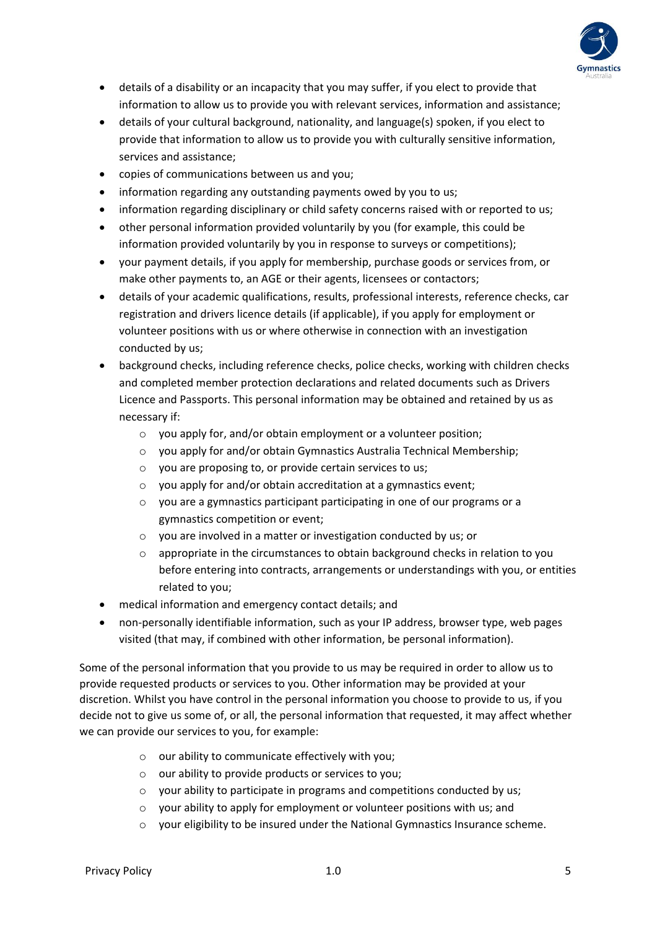

- details of a disability or an incapacity that you may suffer, if you elect to provide that information to allow us to provide you with relevant services, information and assistance;
- details of your cultural background, nationality, and language(s) spoken, if you elect to provide that information to allow us to provide you with culturally sensitive information, services and assistance;
- copies of communications between us and you;
- information regarding any outstanding payments owed by you to us;
- information regarding disciplinary or child safety concerns raised with or reported to us;
- other personal information provided voluntarily by you (for example, this could be information provided voluntarily by you in response to surveys or competitions);
- your payment details, if you apply for membership, purchase goods or services from, or make other payments to, an AGE or their agents, licensees or contactors;
- details of your academic qualifications, results, professional interests, reference checks, car registration and drivers licence details (if applicable), if you apply for employment or volunteer positions with us or where otherwise in connection with an investigation conducted by us;
- background checks, including reference checks, police checks, working with children checks and completed member protection declarations and related documents such as Drivers Licence and Passports. This personal information may be obtained and retained by us as necessary if:
	- o you apply for, and/or obtain employment or a volunteer position;
	- o you apply for and/or obtain Gymnastics Australia Technical Membership;
	- o you are proposing to, or provide certain services to us;
	- o you apply for and/or obtain accreditation at a gymnastics event;
	- $\circ$  vou are a gymnastics participant participating in one of our programs or a gymnastics competition or event;
	- o you are involved in a matter or investigation conducted by us; or
	- $\circ$  appropriate in the circumstances to obtain background checks in relation to you before entering into contracts, arrangements or understandings with you, or entities related to you;
- medical information and emergency contact details; and
- non-personally identifiable information, such as your IP address, browser type, web pages visited (that may, if combined with other information, be personal information).

Some of the personal information that you provide to us may be required in order to allow us to provide requested products or services to you. Other information may be provided at your discretion. Whilst you have control in the personal information you choose to provide to us, if you decide not to give us some of, or all, the personal information that requested, it may affect whether we can provide our services to you, for example:

- $\circ$  our ability to communicate effectively with you;
- $\circ$  our ability to provide products or services to you;
- o your ability to participate in programs and competitions conducted by us;
- o your ability to apply for employment or volunteer positions with us; and
- $\circ$  your eligibility to be insured under the National Gymnastics Insurance scheme.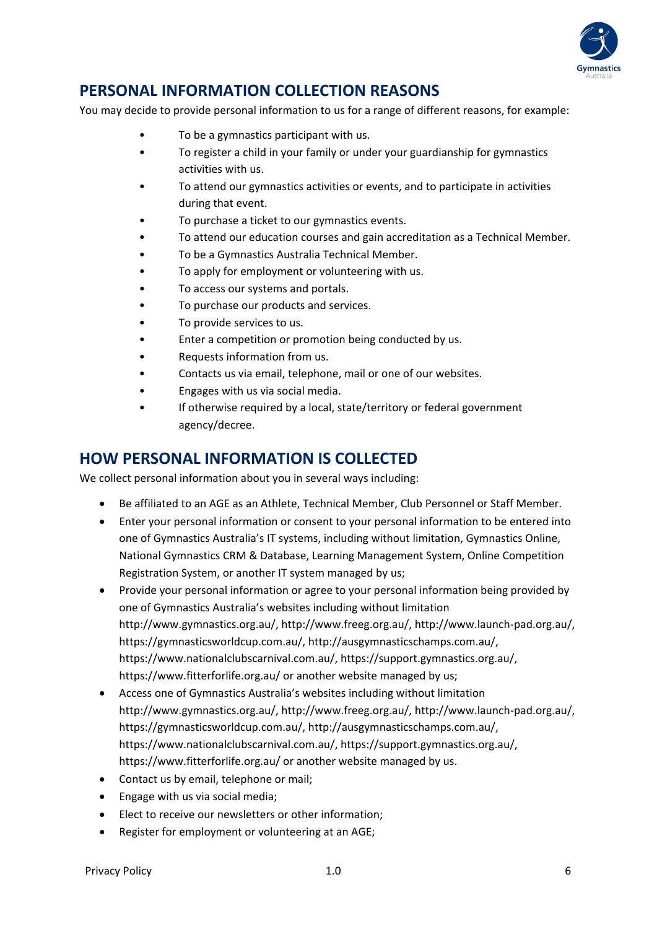

## <span id="page-5-0"></span>**PERSONAL INFORMATION COLLECTION REASONS**

You may decide to provide personal information to us for a range of different reasons, for example:

- To be a gymnastics participant with us.
- To register a child in your family or under your guardianship for gymnastics activities with us.
- To attend our gymnastics activities or events, and to participate in activities during that event.
- To purchase a ticket to our gymnastics events.
- To attend our education courses and gain accreditation as a Technical Member.
- To be a Gymnastics Australia Technical Member.
- To apply for employment or volunteering with us.
- To access our systems and portals.
- To purchase our products and services.
- To provide services to us.
- Enter a competition or promotion being conducted by us.
- Requests information from us.
- Contacts us via email, telephone, mail or one of our websites.
- Engages with us via social media.
- If otherwise required by a local, state/territory or federal government agency/decree.

#### <span id="page-5-1"></span>**HOW PERSONAL INFORMATION IS COLLECTED**

We collect personal information about you in several ways including:

- Be affiliated to an AGE as an Athlete, Technical Member, Club Personnel or Staff Member.
- Enter your personal information or consent to your personal information to be entered into one of Gymnastics Australia's IT systems, including without limitation, Gymnastics Online, National Gymnastics CRM & Database, Learning Management System, Online Competition Registration System, or another IT system managed by us;
- Provide your personal information or agree to your personal information being provided by one of Gymnastics Australia's websites including without limitation http://www.gymnastics.org.au/, http://www.freeg.org.au/, http://www.launch-pad.org.au/, https://gymnasticsworldcup.com.au/, http://ausgymnasticschamps.com.au/, https://www.nationalclubscarnival.com.au/, https://support.gymnastics.org.au/, https://www.fitterforlife.org.au/ or another website managed by us;
- Access one of Gymnastics Australia's websites including without limitation http://www.gymnastics.org.au/, http://www.freeg.org.au/, http://www.launch-pad.org.au/, https://gymnasticsworldcup.com.au/, http://ausgymnasticschamps.com.au/, https://www.nationalclubscarnival.com.au/, https://support.gymnastics.org.au/, https://www.fitterforlife.org.au/ or another website managed by us.
- Contact us by email, telephone or mail;
- Engage with us via social media;
- Elect to receive our newsletters or other information;
- Register for employment or volunteering at an AGE;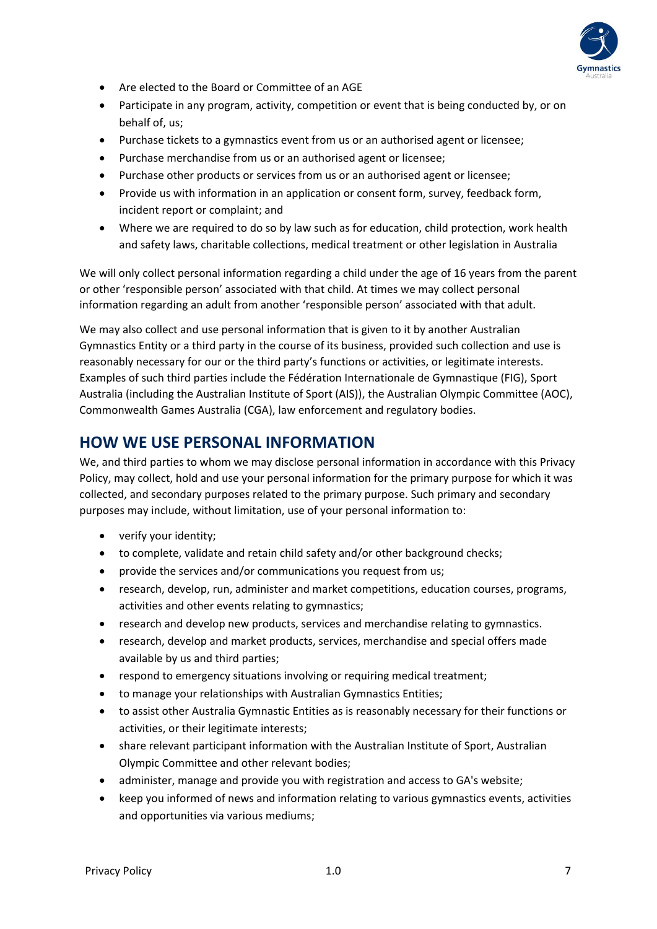

- Are elected to the Board or Committee of an AGE
- Participate in any program, activity, competition or event that is being conducted by, or on behalf of, us;
- Purchase tickets to a gymnastics event from us or an authorised agent or licensee;
- Purchase merchandise from us or an authorised agent or licensee;
- Purchase other products or services from us or an authorised agent or licensee;
- Provide us with information in an application or consent form, survey, feedback form, incident report or complaint; and
- Where we are required to do so by law such as for education, child protection, work health and safety laws, charitable collections, medical treatment or other legislation in Australia

We will only collect personal information regarding a child under the age of 16 years from the parent or other 'responsible person' associated with that child. At times we may collect personal information regarding an adult from another 'responsible person' associated with that adult.

We may also collect and use personal information that is given to it by another Australian Gymnastics Entity or a third party in the course of its business, provided such collection and use is reasonably necessary for our or the third party's functions or activities, or legitimate interests. Examples of such third parties include the Fédération Internationale de Gymnastique (FIG), Sport Australia (including the Australian Institute of Sport (AIS)), the Australian Olympic Committee (AOC), Commonwealth Games Australia (CGA), law enforcement and regulatory bodies.

#### <span id="page-6-0"></span>**HOW WE USE PERSONAL INFORMATION**

We, and third parties to whom we may disclose personal information in accordance with this Privacy Policy, may collect, hold and use your personal information for the primary purpose for which it was collected, and secondary purposes related to the primary purpose. Such primary and secondary purposes may include, without limitation, use of your personal information to:

- verify your identity;
- to complete, validate and retain child safety and/or other background checks;
- provide the services and/or communications you request from us;
- research, develop, run, administer and market competitions, education courses, programs, activities and other events relating to gymnastics;
- research and develop new products, services and merchandise relating to gymnastics.
- research, develop and market products, services, merchandise and special offers made available by us and third parties;
- respond to emergency situations involving or requiring medical treatment;
- to manage your relationships with Australian Gymnastics Entities;
- to assist other Australia Gymnastic Entities as is reasonably necessary for their functions or activities, or their legitimate interests;
- share relevant participant information with the Australian Institute of Sport, Australian Olympic Committee and other relevant bodies;
- administer, manage and provide you with registration and access to GA's website;
- keep you informed of news and information relating to various gymnastics events, activities and opportunities via various mediums;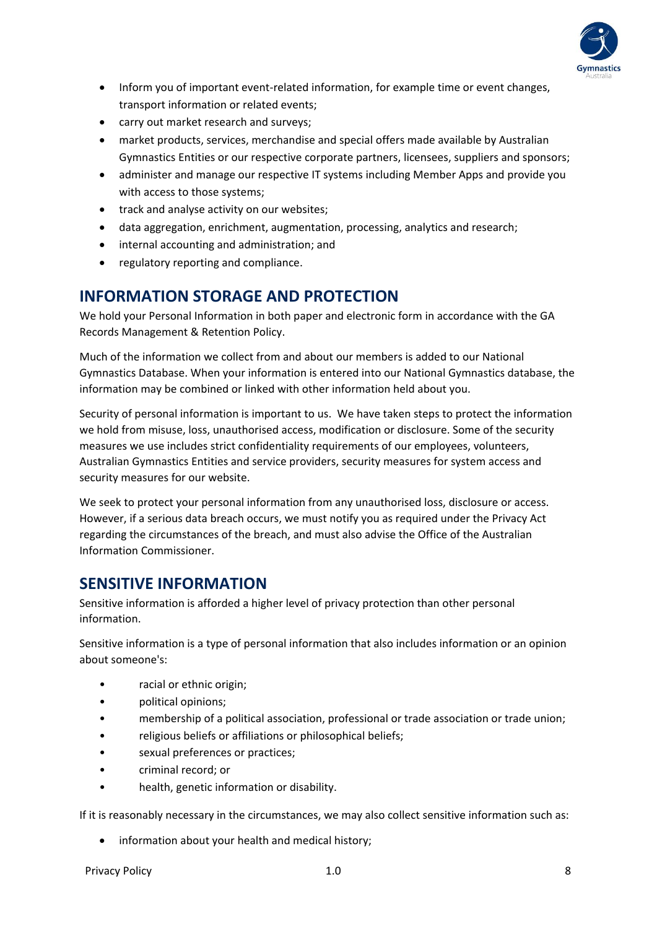

- Inform you of important event-related information, for example time or event changes, transport information or related events;
- carry out market research and surveys;
- market products, services, merchandise and special offers made available by Australian Gymnastics Entities or our respective corporate partners, licensees, suppliers and sponsors;
- administer and manage our respective IT systems including Member Apps and provide you with access to those systems;
- track and analyse activity on our websites;
- data aggregation, enrichment, augmentation, processing, analytics and research;
- internal accounting and administration; and
- regulatory reporting and compliance.

#### <span id="page-7-0"></span>**INFORMATION STORAGE AND PROTECTION**

We hold your Personal Information in both paper and electronic form in accordance with the GA Records Management & Retention Policy.

Much of the information we collect from and about our members is added to our National Gymnastics Database. When your information is entered into our National Gymnastics database, the information may be combined or linked with other information held about you.

Security of personal information is important to us. We have taken steps to protect the information we hold from misuse, loss, unauthorised access, modification or disclosure. Some of the security measures we use includes strict confidentiality requirements of our employees, volunteers, Australian Gymnastics Entities and service providers, security measures for system access and security measures for our website.

We seek to protect your personal information from any unauthorised loss, disclosure or access. However, if a serious data breach occurs, we must notify you as required under the Privacy Act regarding the circumstances of the breach, and must also advise the Office of the Australian Information Commissioner.

#### <span id="page-7-1"></span>**SENSITIVE INFORMATION**

Sensitive information is afforded a higher level of privacy protection than other personal information.

Sensitive information is a type of personal information that also includes information or an opinion about someone's:

- racial or ethnic origin;
- political opinions;
- membership of a political association, professional or trade association or trade union;
- religious beliefs or affiliations or philosophical beliefs;
- sexual preferences or practices;
- criminal record; or
- health, genetic information or disability.

If it is reasonably necessary in the circumstances, we may also collect sensitive information such as:

• information about your health and medical history;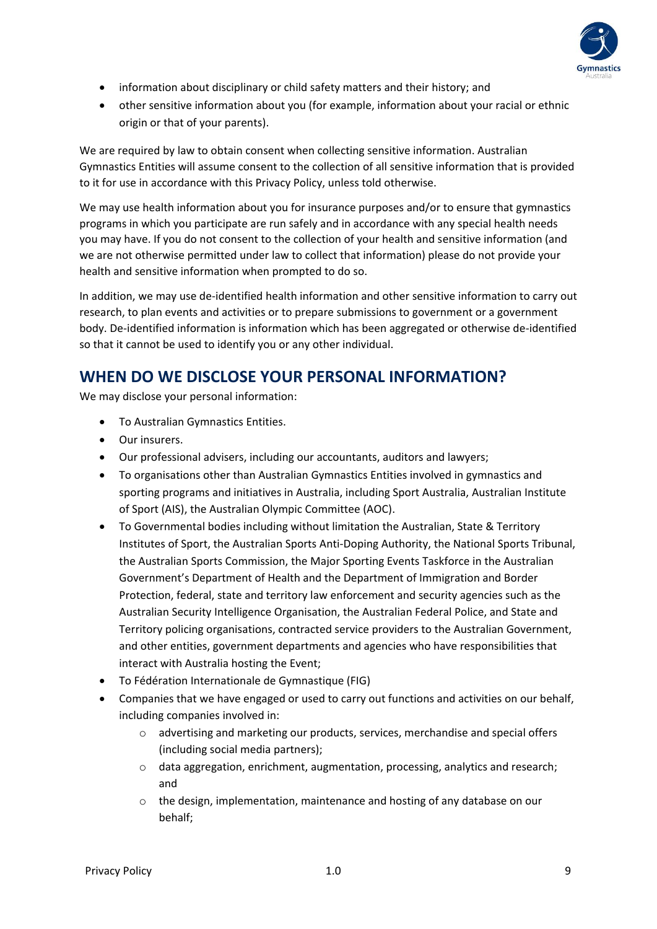

- information about disciplinary or child safety matters and their history; and
- other sensitive information about you (for example, information about your racial or ethnic origin or that of your parents).

We are required by law to obtain consent when collecting sensitive information. Australian Gymnastics Entities will assume consent to the collection of all sensitive information that is provided to it for use in accordance with this Privacy Policy, unless told otherwise.

We may use health information about you for insurance purposes and/or to ensure that gymnastics programs in which you participate are run safely and in accordance with any special health needs you may have. If you do not consent to the collection of your health and sensitive information (and we are not otherwise permitted under law to collect that information) please do not provide your health and sensitive information when prompted to do so.

In addition, we may use de-identified health information and other sensitive information to carry out research, to plan events and activities or to prepare submissions to government or a government body. De-identified information is information which has been aggregated or otherwise de-identified so that it cannot be used to identify you or any other individual.

#### <span id="page-8-0"></span>**WHEN DO WE DISCLOSE YOUR PERSONAL INFORMATION?**

We may disclose your personal information:

- To Australian Gymnastics Entities.
- Our insurers.
- Our professional advisers, including our accountants, auditors and lawyers;
- To organisations other than Australian Gymnastics Entities involved in gymnastics and sporting programs and initiatives in Australia, including Sport Australia, Australian Institute of Sport (AIS), the Australian Olympic Committee (AOC).
- To Governmental bodies including without limitation the Australian, State & Territory Institutes of Sport, the Australian Sports Anti-Doping Authority, the National Sports Tribunal, the Australian Sports Commission, the Major Sporting Events Taskforce in the Australian Government's Department of Health and the Department of Immigration and Border Protection, federal, state and territory law enforcement and security agencies such as the Australian Security Intelligence Organisation, the Australian Federal Police, and State and Territory policing organisations, contracted service providers to the Australian Government, and other entities, government departments and agencies who have responsibilities that interact with Australia hosting the Event;
- To Fédération Internationale de Gymnastique (FIG)
- Companies that we have engaged or used to carry out functions and activities on our behalf, including companies involved in:
	- o advertising and marketing our products, services, merchandise and special offers (including social media partners);
	- $\circ$  data aggregation, enrichment, augmentation, processing, analytics and research; and
	- o the design, implementation, maintenance and hosting of any database on our behalf;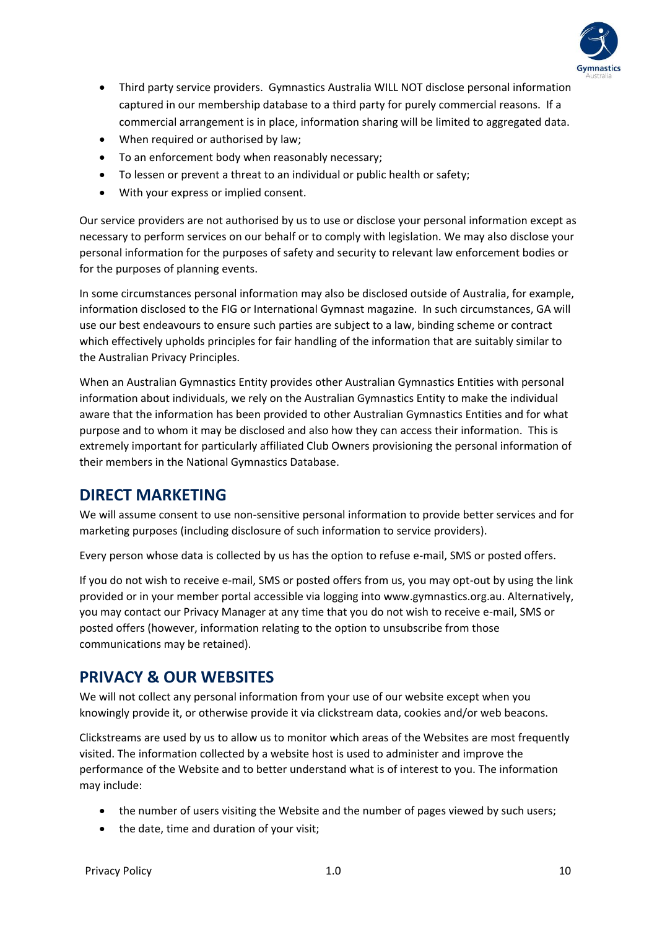

- Third party service providers. Gymnastics Australia WILL NOT disclose personal information captured in our membership database to a third party for purely commercial reasons. If a commercial arrangement is in place, information sharing will be limited to aggregated data.
- When required or authorised by law;
- To an enforcement body when reasonably necessary;
- To lessen or prevent a threat to an individual or public health or safety;
- With your express or implied consent.

Our service providers are not authorised by us to use or disclose your personal information except as necessary to perform services on our behalf or to comply with legislation. We may also disclose your personal information for the purposes of safety and security to relevant law enforcement bodies or for the purposes of planning events.

In some circumstances personal information may also be disclosed outside of Australia, for example, information disclosed to the FIG or International Gymnast magazine. In such circumstances, GA will use our best endeavours to ensure such parties are subject to a law, binding scheme or contract which effectively upholds principles for fair handling of the information that are suitably similar to the Australian Privacy Principles.

When an Australian Gymnastics Entity provides other Australian Gymnastics Entities with personal information about individuals, we rely on the Australian Gymnastics Entity to make the individual aware that the information has been provided to other Australian Gymnastics Entities and for what purpose and to whom it may be disclosed and also how they can access their information. This is extremely important for particularly affiliated Club Owners provisioning the personal information of their members in the National Gymnastics Database.

## <span id="page-9-0"></span>**DIRECT MARKETING**

We will assume consent to use non-sensitive personal information to provide better services and for marketing purposes (including disclosure of such information to service providers).

Every person whose data is collected by us has the option to refuse e-mail, SMS or posted offers.

If you do not wish to receive e-mail, SMS or posted offers from us, you may opt-out by using the link provided or in your member portal accessible via logging into www.gymnastics.org.au. Alternatively, you may contact our Privacy Manager at any time that you do not wish to receive e-mail, SMS or posted offers (however, information relating to the option to unsubscribe from those communications may be retained).

## <span id="page-9-1"></span>**PRIVACY & OUR WEBSITES**

We will not collect any personal information from your use of our website except when you knowingly provide it, or otherwise provide it via clickstream data, cookies and/or web beacons.

Clickstreams are used by us to allow us to monitor which areas of the Websites are most frequently visited. The information collected by a website host is used to administer and improve the performance of the Website and to better understand what is of interest to you. The information may include:

- the number of users visiting the Website and the number of pages viewed by such users;
- the date, time and duration of your visit;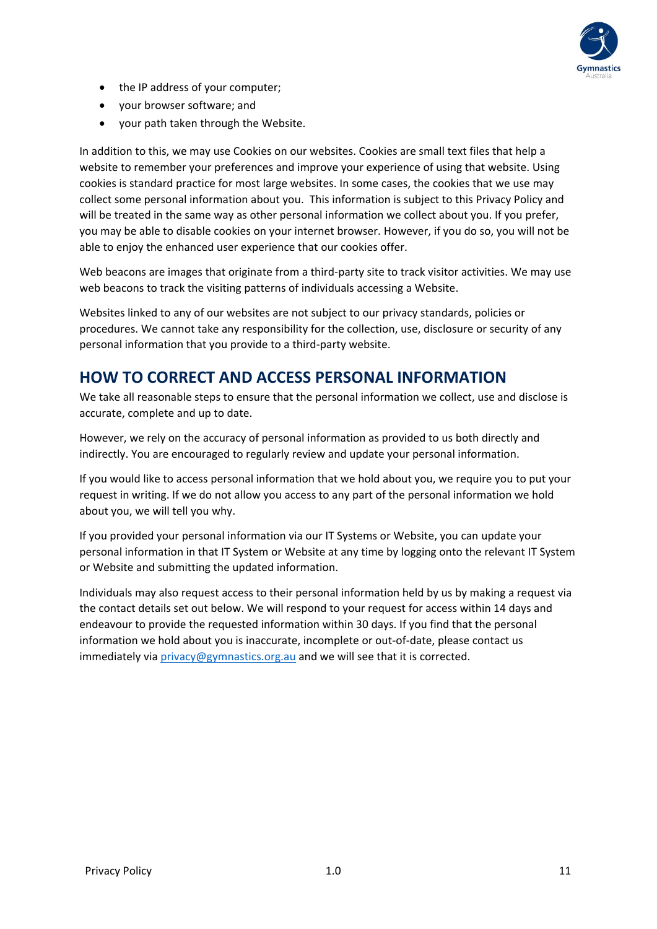

- the IP address of your computer;
- your browser software; and
- your path taken through the Website.

In addition to this, we may use Cookies on our websites. Cookies are small text files that help a website to remember your preferences and improve your experience of using that website. Using cookies is standard practice for most large websites. In some cases, the cookies that we use may collect some personal information about you. This information is subject to this Privacy Policy and will be treated in the same way as other personal information we collect about you. If you prefer, you may be able to disable cookies on your internet browser. However, if you do so, you will not be able to enjoy the enhanced user experience that our cookies offer.

Web beacons are images that originate from a third-party site to track visitor activities. We may use web beacons to track the visiting patterns of individuals accessing a Website.

Websites linked to any of our websites are not subject to our privacy standards, policies or procedures. We cannot take any responsibility for the collection, use, disclosure or security of any personal information that you provide to a third-party website.

## <span id="page-10-0"></span>**HOW TO CORRECT AND ACCESS PERSONAL INFORMATION**

We take all reasonable steps to ensure that the personal information we collect, use and disclose is accurate, complete and up to date.

However, we rely on the accuracy of personal information as provided to us both directly and indirectly. You are encouraged to regularly review and update your personal information.

If you would like to access personal information that we hold about you, we require you to put your request in writing. If we do not allow you access to any part of the personal information we hold about you, we will tell you why.

If you provided your personal information via our IT Systems or Website, you can update your personal information in that IT System or Website at any time by logging onto the relevant IT System or Website and submitting the updated information.

Individuals may also request access to their personal information held by us by making a request via the contact details set out below. We will respond to your request for access within 14 days and endeavour to provide the requested information within 30 days. If you find that the personal information we hold about you is inaccurate, incomplete or out-of-date, please contact us immediately vi[a privacy@gymnastics.org.au](mailto:privacy@gymnastics.org.au) and we will see that it is corrected.